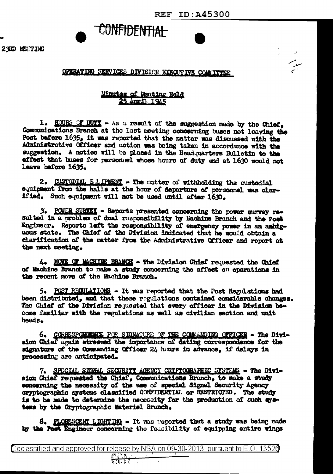مبر<br>المبر

## CONFIDENTIAL

## OPERATING SERVICES DIVISION EXECUTIVE COMMITTEE

## Minutes of Meeting Hald 25 April 1945

1. HOURS OF DUTY - As a result of the suggestion made by the Chief. Communications Branch at the last meeting concerning buses not leaving the Post before 1635, it was reported that the matter was discussed with the Administrative Officer and action was being taken in accordance with the suggestion. A notice will be placed in the Headquarters Bulletin to the effect that buses for personnel whose hours of duty end at 1630 would not leave before 1635.

2. CUSTODIAL E.L. IPERIT - The matter of withholding the custodial equipment from the halls at the hour of departure of personnel was clarified. Such equipment will not be used until after 1630.

3. PONDR SURVEY - Reports presented concerning the power survey resulted in a problem of dual responsibility by Machine Branch and the Post Engineer. Reports left the responsibility of emergency power in an ambiguous state. The Chief of the Division indicated that he would obtain a clarification of the matter from the Administrative Officer and report at the next meeting.

4. MOVE OF MACHINE BRANCH - The Division Chief requested the Chief of Machine Branch to make a study concerning the affect on operations in the recent nove of the Machine Branch.

5. POST REGULATIONS - It was reported that the Post Regulations had been distributed, and that these regulations contained considerable changes. The Chief of the Division requested that every officer in the Division become familiar with the regulations as well as civilian section and unit heads.

6. CORRESPONDENCE FOR SIGNATURE OF THE COMMANDING OFFICER - The Division Chief again stressed the importance of dating correspondence for the signature of the Commanding Officer 24 hours in advance, if delays in processing are anticipated.

7. SPECIAL SIGNAL SECURITY AGENCY CRYPTOGRAFHIC SYSTEMS - The Division Chief requested the Chief, Communications Branch, to make a study concerning the necessity of the use of special Signal Security Agency cryptographic systems classified CONFIDENTIAL or RESTRICTED. The study is to be made to determine the necessity for the production of such systems by the Cryptographic Materiel Branch.

8. FLORESCENT LIGHTING - It was reported that a study was being made by the Post Engineer concerning the feasibility of equipping entire wings